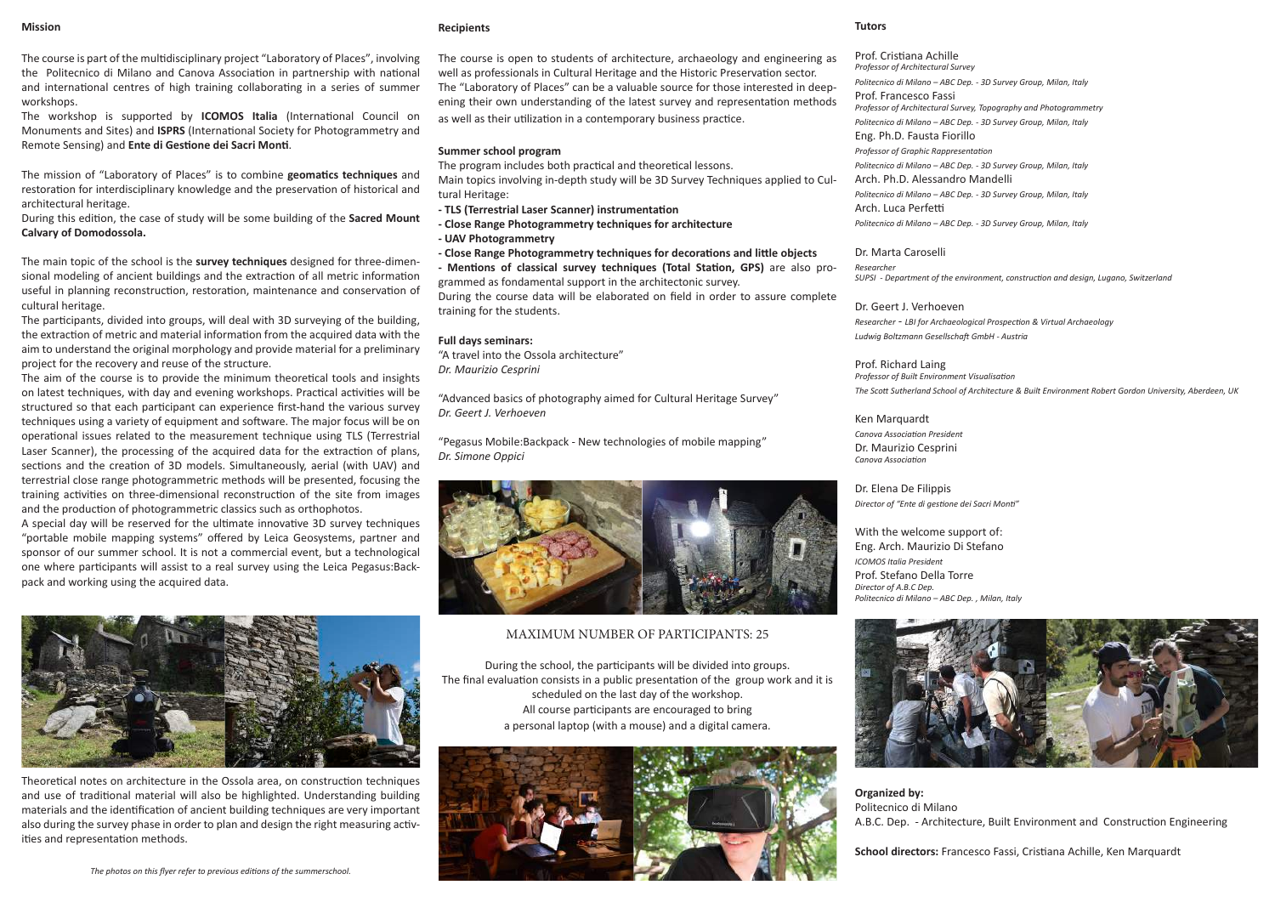The course is part of the multidisciplinary project "Laboratory of Places", involving the Politecnico di Milano and Canova Association in partnership with national and international centres of high training collaborating in a series of summer workshops.

The workshop is supported by **ICOMOS Italia** (International Council on Monuments and Sites) and **ISPRS** (International Society for Photogrammetry and Remote Sensing) and **Ente di Gestione dei Sacri Monti**.

The mission of "Laboratory of Places" is to combine **geomatics techniques** and restoration for interdisciplinary knowledge and the preservation of historical and architectural heritage.

During this edition, the case of study will be some building of the **Sacred Mount Calvary of Domodossola.**

The main topic of the school is the **survey techniques** designed for three-dimensional modeling of ancient buildings and the extraction of all metric information useful in planning reconstruction, restoration, maintenance and conservation of cultural heritage.

The participants, divided into groups, will deal with 3D surveying of the building, the extraction of metric and material information from the acquired data with the aim to understand the original morphology and provide material for a preliminary project for the recovery and reuse of the structure.

The aim of the course is to provide the minimum theoretical tools and insights on latest techniques, with day and evening workshops. Practical activities will be structured so that each participant can experience first-hand the various survey techniques using a variety of equipment and software. The major focus will be on operational issues related to the measurement technique using TLS (Terrestrial Laser Scanner), the processing of the acquired data for the extraction of plans, sections and the creation of 3D models. Simultaneously, aerial (with UAV) and terrestrial close range photogrammetric methods will be presented, focusing the training activities on three-dimensional reconstruction of the site from images and the production of photogrammetric classics such as orthophotos.

A special day will be reserved for the ultimate innovative 3D survey techniques "portable mobile mapping systems" offered by Leica Geosystems, partner and sponsor of our summer school. It is not a commercial event, but a technological one where participants will assist to a real survey using the Leica Pegasus:Backpack and working using the acquired data.



Theoretical notes on architecture in the Ossola area, on construction techniques and use of traditional material will also be highlighted. Understanding building materials and the identification of ancient building techniques are very important also during the survey phase in order to plan and design the right measuring activities and representation methods.

#### **Recipients**

The course is open to students of architecture, archaeology and engineering as well as professionals in Cultural Heritage and the Historic Preservation sector. The "Laboratory of Places" can be a valuable source for those interested in deepening their own understanding of the latest survey and representation methods as well as their utilization in a contemporary business practice.

#### **Summer school program**

The program includes both practical and theoretical lessons. Main topics involving in-depth study will be 3D Survey Techniques applied to Cultural Heritage:

**- TLS (Terrestrial Laser Scanner) instrumentation**

**- Close Range Photogrammetry techniques for architecture - UAV Photogrammetry**

**- Close Range Photogrammetry techniques for decorations and little objects**

**- Mentions of classical survey techniques (Total Station, GPS)** are also programmed as fondamental support in the architectonic survey.

During the course data will be elaborated on field in order to assure complete training for the students.

#### **Full days seminars:**

"A travel into the Ossola architecture" *Dr. Maurizio Cesprini*

"Advanced basics of photography aimed for Cultural Heritage Survey" *Dr. Geert J. Verhoeven*

"Pegasus Mobile:Backpack - New technologies of mobile mapping" *Dr. Simone Oppici*



#### MAXIMUM NUMBER OF PARTICIPANTS: 25

During the school, the participants will be divided into groups. The final evaluation consists in a public presentation of the group work and it is scheduled on the last day of the workshop. All course participants are encouraged to bring a personal laptop (with a mouse) and a digital camera.



#### **Tutors**

Prof. Cristiana Achille *Professor of Architectural Survey Politecnico di Milano – ABC Dep. - 3D Survey Group, Milan, Italy* Prof. Francesco Fassi *Professor of Architectural Survey, Topography and Photogrammetry Politecnico di Milano – ABC Dep. - 3D Survey Group, Milan, Italy* Eng. Ph.D. Fausta Fiorillo *Professor of Graphic Rappresentation Politecnico di Milano – ABC Dep. - 3D Survey Group, Milan, Italy* Arch. Ph.D. Alessandro Mandelli *Politecnico di Milano – ABC Dep. - 3D Survey Group, Milan, Italy* Arch. Luca Perfetti *Politecnico di Milano – ABC Dep. - 3D Survey Group, Milan, Italy*

Dr. Marta Caroselli *Researcher SUPSI - Department of the environment, construction and design, Lugano, Switzerland*

Dr. Geert J. Verhoeven *Researcher - LBI for Archaeological Prospection & Virtual Archaeology Ludwig Boltzmann Gesellschaft GmbH - Austria*

Prof. Richard Laing *Professor of Built Environment Visualisation The Scott Sutherland School of Architecture & Built Environment Robert Gordon University, Aberdeen, UK*

#### Ken Marquardt

*Canova Association President* Dr. Maurizio Cesprini *Canova Association*

Dr. Elena De Filippis *Director of "Ente di gestione dei Sacri Monti"*

With the welcome support of: Eng. Arch. Maurizio Di Stefano *ICOMOS Italia President* Prof. Stefano Della Torre *Director of A.B.C Dep. Politecnico di Milano – ABC Dep. , Milan, Italy*



**Organized by:**  Politecnico di Milano A.B.C. Dep. - Architecture, Built Environment and Construction Engineering

**School directors:** Francesco Fassi, Cristiana Achille, Ken Marquardt